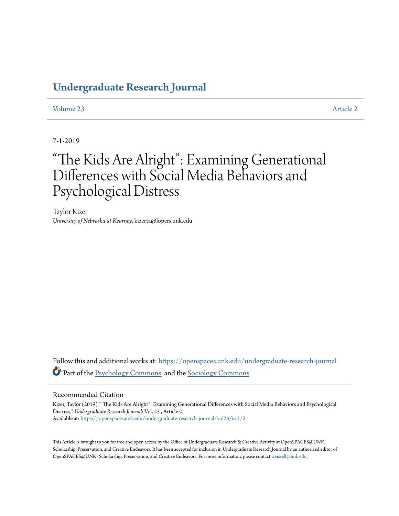## **[Undergraduate Research Journal](https://openspaces.unk.edu/undergraduate-research-journal?utm_source=openspaces.unk.edu%2Fundergraduate-research-journal%2Fvol23%2Fiss1%2F2&utm_medium=PDF&utm_campaign=PDFCoverPages)**

[Volume 23](https://openspaces.unk.edu/undergraduate-research-journal/vol23?utm_source=openspaces.unk.edu%2Fundergraduate-research-journal%2Fvol23%2Fiss1%2F2&utm_medium=PDF&utm_campaign=PDFCoverPages) [Article 2](https://openspaces.unk.edu/undergraduate-research-journal/vol23/iss1/2?utm_source=openspaces.unk.edu%2Fundergraduate-research-journal%2Fvol23%2Fiss1%2F2&utm_medium=PDF&utm_campaign=PDFCoverPages)

7-1-2019

# "The Kids Are Alright": Examining Generational Differences with Social Media Behaviors and Psychological Distress

Taylor Kizer *University of Nebraska at Kearney*, kizerta@lopers.unk.edu

Follow this and additional works at: [https://openspaces.unk.edu/undergraduate-research-journal](https://openspaces.unk.edu/undergraduate-research-journal?utm_source=openspaces.unk.edu%2Fundergraduate-research-journal%2Fvol23%2Fiss1%2F2&utm_medium=PDF&utm_campaign=PDFCoverPages) Part of the [Psychology Commons](http://network.bepress.com/hgg/discipline/404?utm_source=openspaces.unk.edu%2Fundergraduate-research-journal%2Fvol23%2Fiss1%2F2&utm_medium=PDF&utm_campaign=PDFCoverPages), and the [Sociology Commons](http://network.bepress.com/hgg/discipline/416?utm_source=openspaces.unk.edu%2Fundergraduate-research-journal%2Fvol23%2Fiss1%2F2&utm_medium=PDF&utm_campaign=PDFCoverPages)

#### Recommended Citation

Kizer, Taylor (2019) ""The Kids Are Alright": Examining Generational Differences with Social Media Behaviors and Psychological Distress," *Undergraduate Research Journal*: Vol. 23 , Article 2. Available at: [https://openspaces.unk.edu/undergraduate-research-journal/vol23/iss1/2](https://openspaces.unk.edu/undergraduate-research-journal/vol23/iss1/2?utm_source=openspaces.unk.edu%2Fundergraduate-research-journal%2Fvol23%2Fiss1%2F2&utm_medium=PDF&utm_campaign=PDFCoverPages)

This Article is brought to you for free and open access by the Office of Undergraduate Research & Creative Activity at OpenSPACES@UNK: Scholarship, Preservation, and Creative Endeavors. It has been accepted for inclusion in Undergraduate Research Journal by an authorized editor of OpenSPACES@UNK: Scholarship, Preservation, and Creative Endeavors. For more information, please contact [weissell@unk.edu.](mailto:weissell@unk.edu)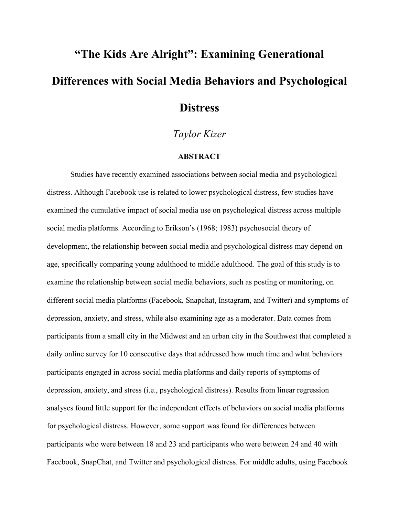# **"The Kids Are Alright": Examining Generational Differences with Social Media Behaviors and Psychological Distress**

*Taylor Kizer*

#### **ABSTRACT**

Studies have recently examined associations between social media and psychological distress. Although Facebook use is related to lower psychological distress, few studies have examined the cumulative impact of social media use on psychological distress across multiple social media platforms. According to Erikson's (1968; 1983) psychosocial theory of development, the relationship between social media and psychological distress may depend on age, specifically comparing young adulthood to middle adulthood. The goal of this study is to examine the relationship between social media behaviors, such as posting or monitoring, on different social media platforms (Facebook, Snapchat, Instagram, and Twitter) and symptoms of depression, anxiety, and stress, while also examining age as a moderator. Data comes from participants from a small city in the Midwest and an urban city in the Southwest that completed a daily online survey for 10 consecutive days that addressed how much time and what behaviors participants engaged in across social media platforms and daily reports of symptoms of depression, anxiety, and stress (i.e., psychological distress). Results from linear regression analyses found little support for the independent effects of behaviors on social media platforms for psychological distress. However, some support was found for differences between participants who were between 18 and 23 and participants who were between 24 and 40 with Facebook, SnapChat, and Twitter and psychological distress. For middle adults, using Facebook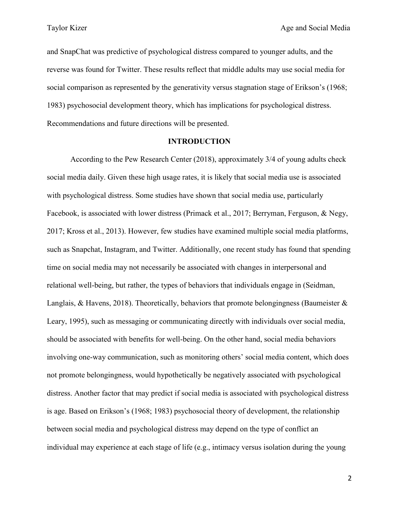and SnapChat was predictive of psychological distress compared to younger adults, and the reverse was found for Twitter. These results reflect that middle adults may use social media for social comparison as represented by the generativity versus stagnation stage of Erikson's (1968; 1983) psychosocial development theory, which has implications for psychological distress. Recommendations and future directions will be presented.

#### **INTRODUCTION**

According to the Pew Research Center (2018), approximately 3/4 of young adults check social media daily. Given these high usage rates, it is likely that social media use is associated with psychological distress. Some studies have shown that social media use, particularly Facebook, is associated with lower distress (Primack et al., 2017; Berryman, Ferguson, & Negy, 2017; Kross et al., 2013). However, few studies have examined multiple social media platforms, such as Snapchat, Instagram, and Twitter. Additionally, one recent study has found that spending time on social media may not necessarily be associated with changes in interpersonal and relational well-being, but rather, the types of behaviors that individuals engage in (Seidman, Langlais, & Havens, 2018). Theoretically, behaviors that promote belongingness (Baumeister  $\&$ Leary, 1995), such as messaging or communicating directly with individuals over social media, should be associated with benefits for well-being. On the other hand, social media behaviors involving one-way communication, such as monitoring others' social media content, which does not promote belongingness, would hypothetically be negatively associated with psychological distress. Another factor that may predict if social media is associated with psychological distress is age. Based on Erikson's (1968; 1983) psychosocial theory of development, the relationship between social media and psychological distress may depend on the type of conflict an individual may experience at each stage of life (e.g., intimacy versus isolation during the young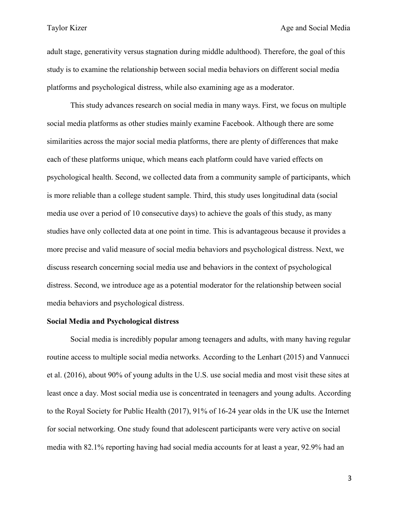adult stage, generativity versus stagnation during middle adulthood). Therefore, the goal of this study is to examine the relationship between social media behaviors on different social media platforms and psychological distress, while also examining age as a moderator.

This study advances research on social media in many ways. First, we focus on multiple social media platforms as other studies mainly examine Facebook. Although there are some similarities across the major social media platforms, there are plenty of differences that make each of these platforms unique, which means each platform could have varied effects on psychological health. Second, we collected data from a community sample of participants, which is more reliable than a college student sample. Third, this study uses longitudinal data (social media use over a period of 10 consecutive days) to achieve the goals of this study, as many studies have only collected data at one point in time. This is advantageous because it provides a more precise and valid measure of social media behaviors and psychological distress. Next, we discuss research concerning social media use and behaviors in the context of psychological distress. Second, we introduce age as a potential moderator for the relationship between social media behaviors and psychological distress.

#### **Social Media and Psychological distress**

Social media is incredibly popular among teenagers and adults, with many having regular routine access to multiple social media networks. According to the Lenhart (2015) and Vannucci et al. (2016), about 90% of young adults in the U.S. use social media and most visit these sites at least once a day. Most social media use is concentrated in teenagers and young adults. According to the Royal Society for Public Health (2017), 91% of 16-24 year olds in the UK use the Internet for social networking. One study found that adolescent participants were very active on social media with 82.1% reporting having had social media accounts for at least a year, 92.9% had an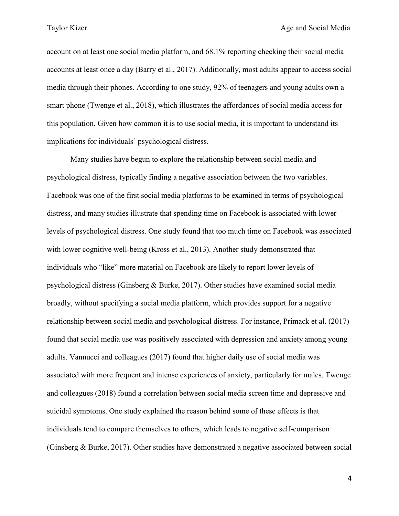account on at least one social media platform, and 68.1% reporting checking their social media accounts at least once a day (Barry et al., 2017). Additionally, most adults appear to access social media through their phones. According to one study, 92% of teenagers and young adults own a smart phone (Twenge et al., 2018), which illustrates the affordances of social media access for this population. Given how common it is to use social media, it is important to understand its implications for individuals' psychological distress.

Many studies have begun to explore the relationship between social media and psychological distress, typically finding a negative association between the two variables. Facebook was one of the first social media platforms to be examined in terms of psychological distress, and many studies illustrate that spending time on Facebook is associated with lower levels of psychological distress. One study found that too much time on Facebook was associated with lower cognitive well-being (Kross et al., 2013). Another study demonstrated that individuals who "like" more material on Facebook are likely to report lower levels of psychological distress (Ginsberg & Burke, 2017). Other studies have examined social media broadly, without specifying a social media platform, which provides support for a negative relationship between social media and psychological distress. For instance, Primack et al. (2017) found that social media use was positively associated with depression and anxiety among young adults. Vannucci and colleagues (2017) found that higher daily use of social media was associated with more frequent and intense experiences of anxiety, particularly for males. Twenge and colleagues (2018) found a correlation between social media screen time and depressive and suicidal symptoms. One study explained the reason behind some of these effects is that individuals tend to compare themselves to others, which leads to negative self-comparison (Ginsberg & Burke, 2017). Other studies have demonstrated a negative associated between social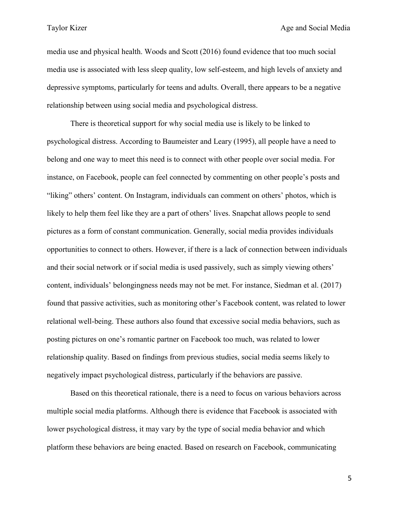media use and physical health. Woods and Scott (2016) found evidence that too much social media use is associated with less sleep quality, low self-esteem, and high levels of anxiety and depressive symptoms, particularly for teens and adults. Overall, there appears to be a negative relationship between using social media and psychological distress.

There is theoretical support for why social media use is likely to be linked to psychological distress. According to Baumeister and Leary (1995), all people have a need to belong and one way to meet this need is to connect with other people over social media. For instance, on Facebook, people can feel connected by commenting on other people's posts and "liking" others' content. On Instagram, individuals can comment on others' photos, which is likely to help them feel like they are a part of others' lives. Snapchat allows people to send pictures as a form of constant communication. Generally, social media provides individuals opportunities to connect to others. However, if there is a lack of connection between individuals and their social network or if social media is used passively, such as simply viewing others' content, individuals' belongingness needs may not be met. For instance, Siedman et al. (2017) found that passive activities, such as monitoring other's Facebook content, was related to lower relational well-being. These authors also found that excessive social media behaviors, such as posting pictures on one's romantic partner on Facebook too much, was related to lower relationship quality. Based on findings from previous studies, social media seems likely to negatively impact psychological distress, particularly if the behaviors are passive.

Based on this theoretical rationale, there is a need to focus on various behaviors across multiple social media platforms. Although there is evidence that Facebook is associated with lower psychological distress, it may vary by the type of social media behavior and which platform these behaviors are being enacted. Based on research on Facebook, communicating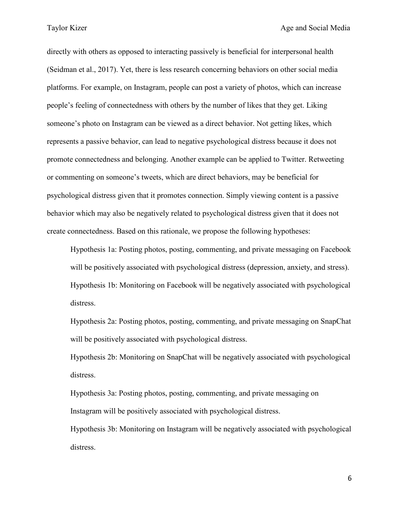directly with others as opposed to interacting passively is beneficial for interpersonal health (Seidman et al., 2017). Yet, there is less research concerning behaviors on other social media platforms. For example, on Instagram, people can post a variety of photos, which can increase people's feeling of connectedness with others by the number of likes that they get. Liking someone's photo on Instagram can be viewed as a direct behavior. Not getting likes, which represents a passive behavior, can lead to negative psychological distress because it does not promote connectedness and belonging. Another example can be applied to Twitter. Retweeting or commenting on someone's tweets, which are direct behaviors, may be beneficial for psychological distress given that it promotes connection. Simply viewing content is a passive behavior which may also be negatively related to psychological distress given that it does not create connectedness. Based on this rationale, we propose the following hypotheses:

Hypothesis 1a: Posting photos, posting, commenting, and private messaging on Facebook will be positively associated with psychological distress (depression, anxiety, and stress). Hypothesis 1b: Monitoring on Facebook will be negatively associated with psychological distress.

Hypothesis 2a: Posting photos, posting, commenting, and private messaging on SnapChat will be positively associated with psychological distress.

Hypothesis 2b: Monitoring on SnapChat will be negatively associated with psychological distress.

Hypothesis 3a: Posting photos, posting, commenting, and private messaging on Instagram will be positively associated with psychological distress.

Hypothesis 3b: Monitoring on Instagram will be negatively associated with psychological distress.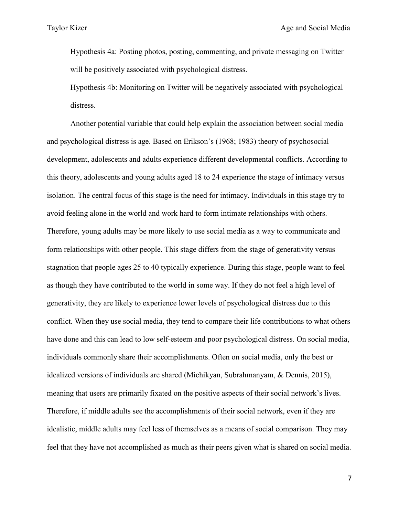Hypothesis 4a: Posting photos, posting, commenting, and private messaging on Twitter will be positively associated with psychological distress.

Hypothesis 4b: Monitoring on Twitter will be negatively associated with psychological distress.

Another potential variable that could help explain the association between social media and psychological distress is age. Based on Erikson's (1968; 1983) theory of psychosocial development, adolescents and adults experience different developmental conflicts. According to this theory, adolescents and young adults aged 18 to 24 experience the stage of intimacy versus isolation. The central focus of this stage is the need for intimacy. Individuals in this stage try to avoid feeling alone in the world and work hard to form intimate relationships with others. Therefore, young adults may be more likely to use social media as a way to communicate and form relationships with other people. This stage differs from the stage of generativity versus stagnation that people ages 25 to 40 typically experience. During this stage, people want to feel as though they have contributed to the world in some way. If they do not feel a high level of generativity, they are likely to experience lower levels of psychological distress due to this conflict. When they use social media, they tend to compare their life contributions to what others have done and this can lead to low self-esteem and poor psychological distress. On social media, individuals commonly share their accomplishments. Often on social media, only the best or idealized versions of individuals are shared (Michikyan, Subrahmanyam, & Dennis, 2015), meaning that users are primarily fixated on the positive aspects of their social network's lives. Therefore, if middle adults see the accomplishments of their social network, even if they are idealistic, middle adults may feel less of themselves as a means of social comparison. They may feel that they have not accomplished as much as their peers given what is shared on social media.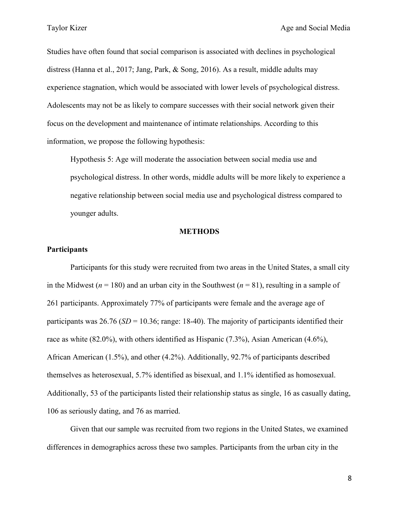Studies have often found that social comparison is associated with declines in psychological distress (Hanna et al., 2017; Jang, Park, & Song, 2016). As a result, middle adults may experience stagnation, which would be associated with lower levels of psychological distress. Adolescents may not be as likely to compare successes with their social network given their focus on the development and maintenance of intimate relationships. According to this information, we propose the following hypothesis:

Hypothesis 5: Age will moderate the association between social media use and psychological distress. In other words, middle adults will be more likely to experience a negative relationship between social media use and psychological distress compared to younger adults.

#### **METHODS**

#### **Participants**

Participants for this study were recruited from two areas in the United States, a small city in the Midwest ( $n = 180$ ) and an urban city in the Southwest ( $n = 81$ ), resulting in a sample of 261 participants. Approximately 77% of participants were female and the average age of participants was  $26.76$  ( $SD = 10.36$ ; range: 18-40). The majority of participants identified their race as white (82.0%), with others identified as Hispanic (7.3%), Asian American (4.6%), African American (1.5%), and other (4.2%). Additionally, 92.7% of participants described themselves as heterosexual, 5.7% identified as bisexual, and 1.1% identified as homosexual. Additionally, 53 of the participants listed their relationship status as single, 16 as casually dating, 106 as seriously dating, and 76 as married.

Given that our sample was recruited from two regions in the United States, we examined differences in demographics across these two samples. Participants from the urban city in the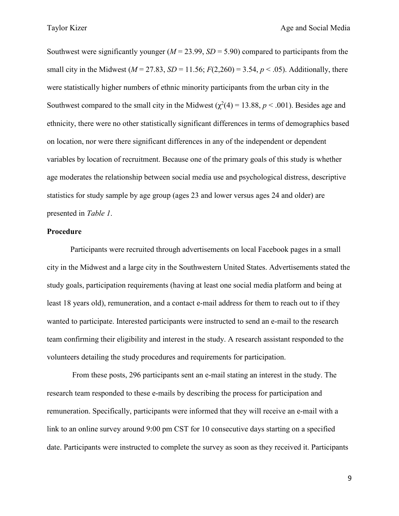Southwest were significantly younger  $(M = 23.99, SD = 5.90)$  compared to participants from the small city in the Midwest ( $M = 27.83$ ,  $SD = 11.56$ ;  $F(2,260) = 3.54$ ,  $p < .05$ ). Additionally, there were statistically higher numbers of ethnic minority participants from the urban city in the Southwest compared to the small city in the Midwest  $(\chi^2(4) = 13.88, p < .001)$ . Besides age and ethnicity, there were no other statistically significant differences in terms of demographics based on location, nor were there significant differences in any of the independent or dependent variables by location of recruitment. Because one of the primary goals of this study is whether age moderates the relationship between social media use and psychological distress, descriptive statistics for study sample by age group (ages 23 and lower versus ages 24 and older) are presented in *Table 1*.

### **Procedure**

Participants were recruited through advertisements on local Facebook pages in a small city in the Midwest and a large city in the Southwestern United States. Advertisements stated the study goals, participation requirements (having at least one social media platform and being at least 18 years old), remuneration, and a contact e-mail address for them to reach out to if they wanted to participate. Interested participants were instructed to send an e-mail to the research team confirming their eligibility and interest in the study. A research assistant responded to the volunteers detailing the study procedures and requirements for participation.

From these posts, 296 participants sent an e-mail stating an interest in the study. The research team responded to these e-mails by describing the process for participation and remuneration. Specifically, participants were informed that they will receive an e-mail with a link to an online survey around 9:00 pm CST for 10 consecutive days starting on a specified date. Participants were instructed to complete the survey as soon as they received it. Participants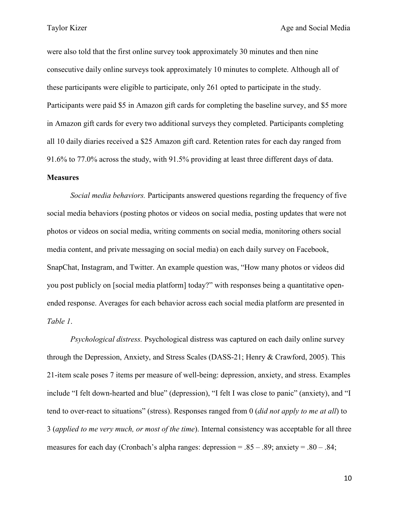were also told that the first online survey took approximately 30 minutes and then nine consecutive daily online surveys took approximately 10 minutes to complete. Although all of these participants were eligible to participate, only 261 opted to participate in the study. Participants were paid \$5 in Amazon gift cards for completing the baseline survey, and \$5 more in Amazon gift cards for every two additional surveys they completed. Participants completing all 10 daily diaries received a \$25 Amazon gift card. Retention rates for each day ranged from 91.6% to 77.0% across the study, with 91.5% providing at least three different days of data.

#### **Measures**

*Social media behaviors.* Participants answered questions regarding the frequency of five social media behaviors (posting photos or videos on social media, posting updates that were not photos or videos on social media, writing comments on social media, monitoring others social media content, and private messaging on social media) on each daily survey on Facebook, SnapChat, Instagram, and Twitter. An example question was, "How many photos or videos did you post publicly on [social media platform] today?" with responses being a quantitative openended response. Averages for each behavior across each social media platform are presented in *Table 1*.

*Psychological distress.* Psychological distress was captured on each daily online survey through the Depression, Anxiety, and Stress Scales (DASS-21; Henry & Crawford, 2005). This 21-item scale poses 7 items per measure of well-being: depression, anxiety, and stress. Examples include "I felt down-hearted and blue" (depression), "I felt I was close to panic" (anxiety), and "I tend to over-react to situations" (stress). Responses ranged from 0 (*did not apply to me at all*) to 3 (*applied to me very much, or most of the time*). Internal consistency was acceptable for all three measures for each day (Cronbach's alpha ranges: depression =  $.85 - .89$ ; anxiety =  $.80 - .84$ ;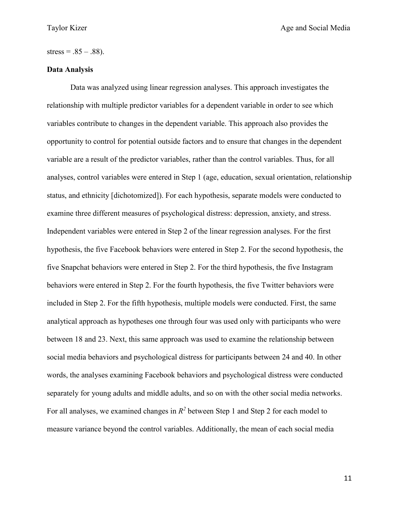### $stress = .85 - .88$ ).

### **Data Analysis**

Data was analyzed using linear regression analyses. This approach investigates the relationship with multiple predictor variables for a dependent variable in order to see which variables contribute to changes in the dependent variable. This approach also provides the opportunity to control for potential outside factors and to ensure that changes in the dependent variable are a result of the predictor variables, rather than the control variables. Thus, for all analyses, control variables were entered in Step 1 (age, education, sexual orientation, relationship status, and ethnicity [dichotomized]). For each hypothesis, separate models were conducted to examine three different measures of psychological distress: depression, anxiety, and stress. Independent variables were entered in Step 2 of the linear regression analyses. For the first hypothesis, the five Facebook behaviors were entered in Step 2. For the second hypothesis, the five Snapchat behaviors were entered in Step 2. For the third hypothesis, the five Instagram behaviors were entered in Step 2. For the fourth hypothesis, the five Twitter behaviors were included in Step 2. For the fifth hypothesis, multiple models were conducted. First, the same analytical approach as hypotheses one through four was used only with participants who were between 18 and 23. Next, this same approach was used to examine the relationship between social media behaviors and psychological distress for participants between 24 and 40. In other words, the analyses examining Facebook behaviors and psychological distress were conducted separately for young adults and middle adults, and so on with the other social media networks. For all analyses, we examined changes in  $R^2$  between Step 1 and Step 2 for each model to measure variance beyond the control variables. Additionally, the mean of each social media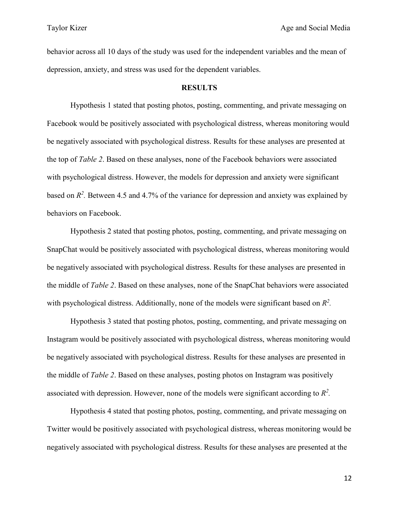behavior across all 10 days of the study was used for the independent variables and the mean of depression, anxiety, and stress was used for the dependent variables.

#### **RESULTS**

Hypothesis 1 stated that posting photos, posting, commenting, and private messaging on Facebook would be positively associated with psychological distress, whereas monitoring would be negatively associated with psychological distress. Results for these analyses are presented at the top of *Table 2*. Based on these analyses, none of the Facebook behaviors were associated with psychological distress. However, the models for depression and anxiety were significant based on  $R^2$ . Between 4.5 and 4.7% of the variance for depression and anxiety was explained by behaviors on Facebook.

Hypothesis 2 stated that posting photos, posting, commenting, and private messaging on SnapChat would be positively associated with psychological distress, whereas monitoring would be negatively associated with psychological distress. Results for these analyses are presented in the middle of *Table 2*. Based on these analyses, none of the SnapChat behaviors were associated with psychological distress. Additionally, none of the models were significant based on  $R^2$ .

Hypothesis 3 stated that posting photos, posting, commenting, and private messaging on Instagram would be positively associated with psychological distress, whereas monitoring would be negatively associated with psychological distress. Results for these analyses are presented in the middle of *Table 2*. Based on these analyses, posting photos on Instagram was positively associated with depression. However, none of the models were significant according to *R2 .*

Hypothesis 4 stated that posting photos, posting, commenting, and private messaging on Twitter would be positively associated with psychological distress, whereas monitoring would be negatively associated with psychological distress. Results for these analyses are presented at the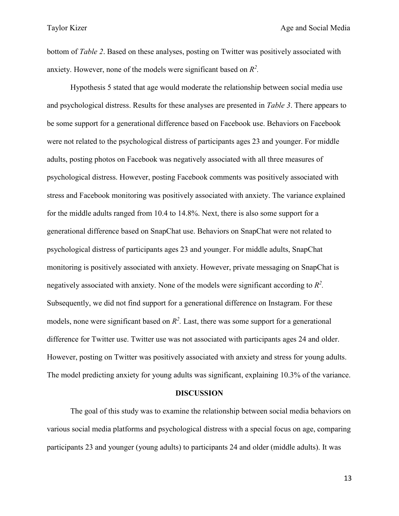bottom of *Table 2*. Based on these analyses, posting on Twitter was positively associated with anxiety. However, none of the models were significant based on *R2 .*

Hypothesis 5 stated that age would moderate the relationship between social media use and psychological distress. Results for these analyses are presented in *Table 3*. There appears to be some support for a generational difference based on Facebook use. Behaviors on Facebook were not related to the psychological distress of participants ages 23 and younger. For middle adults, posting photos on Facebook was negatively associated with all three measures of psychological distress. However, posting Facebook comments was positively associated with stress and Facebook monitoring was positively associated with anxiety. The variance explained for the middle adults ranged from 10.4 to 14.8%. Next, there is also some support for a generational difference based on SnapChat use. Behaviors on SnapChat were not related to psychological distress of participants ages 23 and younger. For middle adults, SnapChat monitoring is positively associated with anxiety. However, private messaging on SnapChat is negatively associated with anxiety. None of the models were significant according to *R2 .*  Subsequently, we did not find support for a generational difference on Instagram. For these models, none were significant based on  $R^2$ . Last, there was some support for a generational difference for Twitter use. Twitter use was not associated with participants ages 24 and older. However, posting on Twitter was positively associated with anxiety and stress for young adults. The model predicting anxiety for young adults was significant, explaining 10.3% of the variance.

#### **DISCUSSION**

The goal of this study was to examine the relationship between social media behaviors on various social media platforms and psychological distress with a special focus on age, comparing participants 23 and younger (young adults) to participants 24 and older (middle adults). It was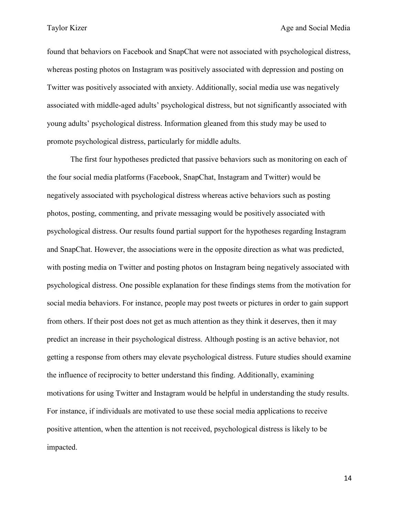found that behaviors on Facebook and SnapChat were not associated with psychological distress, whereas posting photos on Instagram was positively associated with depression and posting on Twitter was positively associated with anxiety. Additionally, social media use was negatively associated with middle-aged adults' psychological distress, but not significantly associated with young adults' psychological distress. Information gleaned from this study may be used to promote psychological distress, particularly for middle adults.

The first four hypotheses predicted that passive behaviors such as monitoring on each of the four social media platforms (Facebook, SnapChat, Instagram and Twitter) would be negatively associated with psychological distress whereas active behaviors such as posting photos, posting, commenting, and private messaging would be positively associated with psychological distress. Our results found partial support for the hypotheses regarding Instagram and SnapChat. However, the associations were in the opposite direction as what was predicted, with posting media on Twitter and posting photos on Instagram being negatively associated with psychological distress. One possible explanation for these findings stems from the motivation for social media behaviors. For instance, people may post tweets or pictures in order to gain support from others. If their post does not get as much attention as they think it deserves, then it may predict an increase in their psychological distress. Although posting is an active behavior, not getting a response from others may elevate psychological distress. Future studies should examine the influence of reciprocity to better understand this finding. Additionally, examining motivations for using Twitter and Instagram would be helpful in understanding the study results. For instance, if individuals are motivated to use these social media applications to receive positive attention, when the attention is not received, psychological distress is likely to be impacted.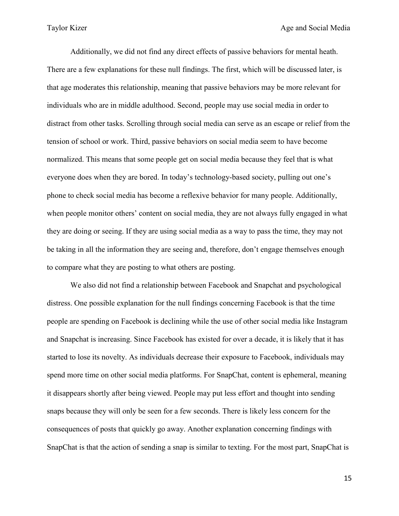Additionally, we did not find any direct effects of passive behaviors for mental heath. There are a few explanations for these null findings. The first, which will be discussed later, is that age moderates this relationship, meaning that passive behaviors may be more relevant for individuals who are in middle adulthood. Second, people may use social media in order to distract from other tasks. Scrolling through social media can serve as an escape or relief from the tension of school or work. Third, passive behaviors on social media seem to have become normalized. This means that some people get on social media because they feel that is what everyone does when they are bored. In today's technology-based society, pulling out one's phone to check social media has become a reflexive behavior for many people. Additionally, when people monitor others' content on social media, they are not always fully engaged in what they are doing or seeing. If they are using social media as a way to pass the time, they may not be taking in all the information they are seeing and, therefore, don't engage themselves enough to compare what they are posting to what others are posting.

We also did not find a relationship between Facebook and Snapchat and psychological distress. One possible explanation for the null findings concerning Facebook is that the time people are spending on Facebook is declining while the use of other social media like Instagram and Snapchat is increasing. Since Facebook has existed for over a decade, it is likely that it has started to lose its novelty. As individuals decrease their exposure to Facebook, individuals may spend more time on other social media platforms. For SnapChat, content is ephemeral, meaning it disappears shortly after being viewed. People may put less effort and thought into sending snaps because they will only be seen for a few seconds. There is likely less concern for the consequences of posts that quickly go away. Another explanation concerning findings with SnapChat is that the action of sending a snap is similar to texting. For the most part, SnapChat is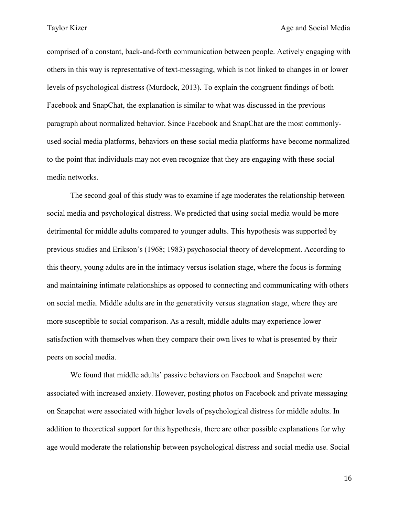comprised of a constant, back-and-forth communication between people. Actively engaging with others in this way is representative of text-messaging, which is not linked to changes in or lower levels of psychological distress (Murdock, 2013). To explain the congruent findings of both Facebook and SnapChat, the explanation is similar to what was discussed in the previous paragraph about normalized behavior. Since Facebook and SnapChat are the most commonlyused social media platforms, behaviors on these social media platforms have become normalized to the point that individuals may not even recognize that they are engaging with these social media networks.

The second goal of this study was to examine if age moderates the relationship between social media and psychological distress. We predicted that using social media would be more detrimental for middle adults compared to younger adults. This hypothesis was supported by previous studies and Erikson's (1968; 1983) psychosocial theory of development. According to this theory, young adults are in the intimacy versus isolation stage, where the focus is forming and maintaining intimate relationships as opposed to connecting and communicating with others on social media. Middle adults are in the generativity versus stagnation stage, where they are more susceptible to social comparison. As a result, middle adults may experience lower satisfaction with themselves when they compare their own lives to what is presented by their peers on social media.

We found that middle adults' passive behaviors on Facebook and Snapchat were associated with increased anxiety. However, posting photos on Facebook and private messaging on Snapchat were associated with higher levels of psychological distress for middle adults. In addition to theoretical support for this hypothesis, there are other possible explanations for why age would moderate the relationship between psychological distress and social media use. Social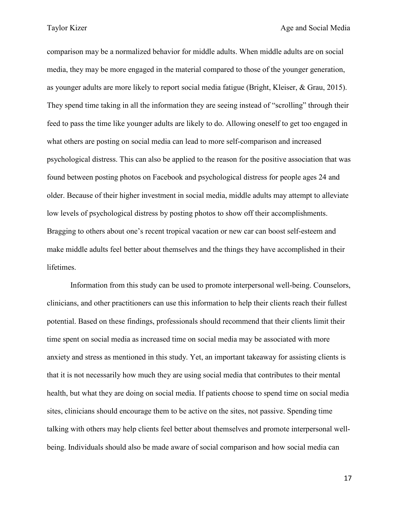comparison may be a normalized behavior for middle adults. When middle adults are on social media, they may be more engaged in the material compared to those of the younger generation, as younger adults are more likely to report social media fatigue (Bright, Kleiser, & Grau, 2015). They spend time taking in all the information they are seeing instead of "scrolling" through their feed to pass the time like younger adults are likely to do. Allowing oneself to get too engaged in what others are posting on social media can lead to more self-comparison and increased psychological distress. This can also be applied to the reason for the positive association that was found between posting photos on Facebook and psychological distress for people ages 24 and older. Because of their higher investment in social media, middle adults may attempt to alleviate low levels of psychological distress by posting photos to show off their accomplishments. Bragging to others about one's recent tropical vacation or new car can boost self-esteem and make middle adults feel better about themselves and the things they have accomplished in their lifetimes.

Information from this study can be used to promote interpersonal well-being. Counselors, clinicians, and other practitioners can use this information to help their clients reach their fullest potential. Based on these findings, professionals should recommend that their clients limit their time spent on social media as increased time on social media may be associated with more anxiety and stress as mentioned in this study. Yet, an important takeaway for assisting clients is that it is not necessarily how much they are using social media that contributes to their mental health, but what they are doing on social media. If patients choose to spend time on social media sites, clinicians should encourage them to be active on the sites, not passive. Spending time talking with others may help clients feel better about themselves and promote interpersonal wellbeing. Individuals should also be made aware of social comparison and how social media can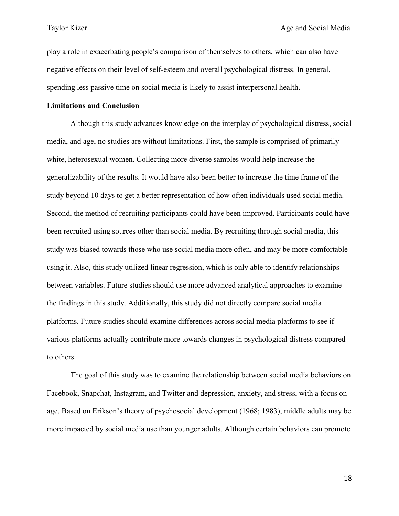play a role in exacerbating people's comparison of themselves to others, which can also have negative effects on their level of self-esteem and overall psychological distress. In general, spending less passive time on social media is likely to assist interpersonal health.

### **Limitations and Conclusion**

Although this study advances knowledge on the interplay of psychological distress, social media, and age, no studies are without limitations. First, the sample is comprised of primarily white, heterosexual women. Collecting more diverse samples would help increase the generalizability of the results. It would have also been better to increase the time frame of the study beyond 10 days to get a better representation of how often individuals used social media. Second, the method of recruiting participants could have been improved. Participants could have been recruited using sources other than social media. By recruiting through social media, this study was biased towards those who use social media more often, and may be more comfortable using it. Also, this study utilized linear regression, which is only able to identify relationships between variables. Future studies should use more advanced analytical approaches to examine the findings in this study. Additionally, this study did not directly compare social media platforms. Future studies should examine differences across social media platforms to see if various platforms actually contribute more towards changes in psychological distress compared to others.

The goal of this study was to examine the relationship between social media behaviors on Facebook, Snapchat, Instagram, and Twitter and depression, anxiety, and stress, with a focus on age. Based on Erikson's theory of psychosocial development (1968; 1983), middle adults may be more impacted by social media use than younger adults. Although certain behaviors can promote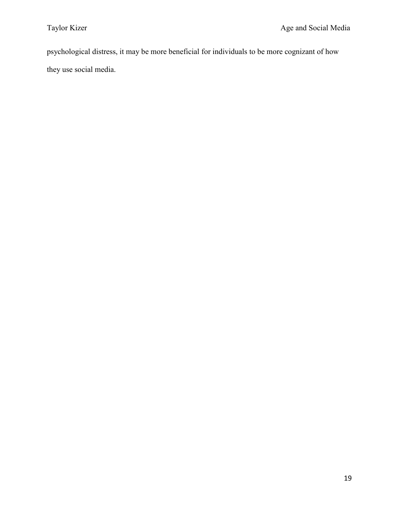psychological distress, it may be more beneficial for individuals to be more cognizant of how they use social media.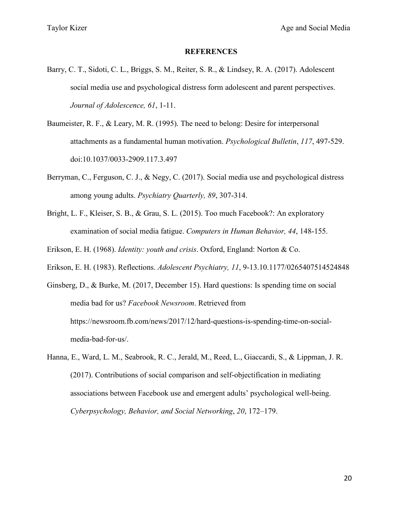#### **REFERENCES**

- Barry, C. T., Sidoti, C. L., Briggs, S. M., Reiter, S. R., & Lindsey, R. A. (2017). Adolescent social media use and psychological distress form adolescent and parent perspectives. *Journal of Adolescence, 61*, 1-11.
- Baumeister, R. F., & Leary, M. R. (1995). The need to belong: Desire for interpersonal attachments as a fundamental human motivation. *Psychological Bulletin*, *117*, 497-529. doi:10.1037/0033-2909.117.3.497
- Berryman, C., Ferguson, C. J., & Negy, C. (2017). Social media use and psychological distress among young adults. *Psychiatry Quarterly, 89*, 307-314.
- Bright, L. F., Kleiser, S. B., & Grau, S. L. (2015). Too much Facebook?: An exploratory examination of social media fatigue. *Computers in Human Behavior, 44*, 148-155.

Erikson, E. H. (1968). *Identity: youth and crisis*. Oxford, England: Norton & Co.

Erikson, E. H. (1983). Reflections. *Adolescent Psychiatry, 11*, 9-13.10.1177/0265407514524848

Ginsberg, D., & Burke, M. (2017, December 15). Hard questions: Is spending time on social media bad for us? *Facebook Newsroom*. Retrieved from https://newsroom.fb.com/news/2017/12/hard-questions-is-spending-time-on-socialmedia-bad-for-us/.

Hanna, E., Ward, L. M., Seabrook, R. C., Jerald, M., Reed, L., Giaccardi, S., & Lippman, J. R. (2017). Contributions of social comparison and self-objectification in mediating associations between Facebook use and emergent adults' psychological well-being. *Cyberpsychology, Behavior, and Social Networking*, *20*, 172–179.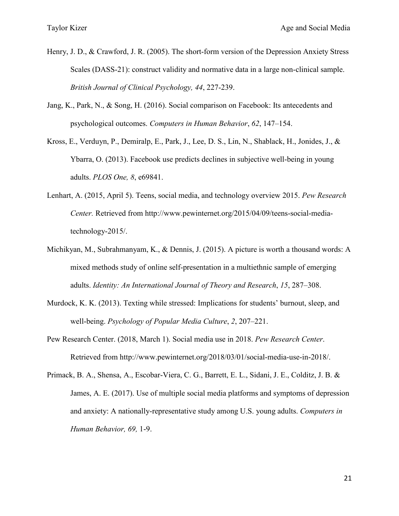- Henry, J. D., & Crawford, J. R. (2005). The short-form version of the Depression Anxiety Stress Scales (DASS-21): construct validity and normative data in a large non-clinical sample. *British Journal of Clinical Psychology, 44*, 227-239.
- Jang, K., Park, N., & Song, H. (2016). Social comparison on Facebook: Its antecedents and psychological outcomes. *Computers in Human Behavior*, *62*, 147–154.
- Kross, E., Verduyn, P., Demiralp, E., Park, J., Lee, D. S., Lin, N., Shablack, H., Jonides, J., & Ybarra, O. (2013). Facebook use predicts declines in subjective well-being in young adults. *PLOS One, 8*, e69841.
- Lenhart, A. (2015, April 5). Teens, social media, and technology overview 2015. *Pew Research Center.* Retrieved from http://www.pewinternet.org/2015/04/09/teens-social-mediatechnology-2015/.
- Michikyan, M., Subrahmanyam, K., & Dennis, J. (2015). A picture is worth a thousand words: A mixed methods study of online self-presentation in a multiethnic sample of emerging adults. *Identity: An International Journal of Theory and Research*, *15*, 287–308.
- Murdock, K. K. (2013). Texting while stressed: Implications for students' burnout, sleep, and well-being. *Psychology of Popular Media Culture*, *2*, 207–221.
- Pew Research Center. (2018, March 1). Social media use in 2018. *Pew Research Center*. Retrieved from http://www.pewinternet.org/2018/03/01/social-media-use-in-2018/.
- Primack, B. A., Shensa, A., Escobar-Viera, C. G., Barrett, E. L., Sidani, J. E., Colditz, J. B. & James, A. E. (2017). Use of multiple social media platforms and symptoms of depression and anxiety: A nationally-representative study among U.S. young adults. *Computers in Human Behavior, 69,* 1-9.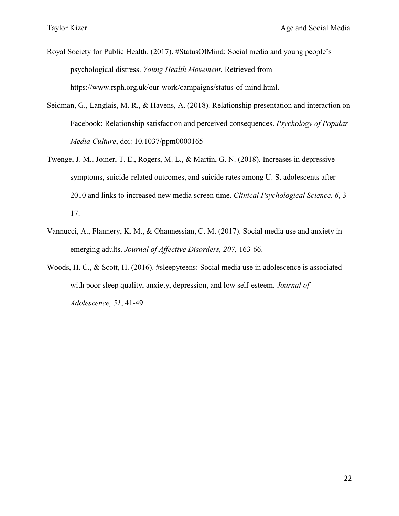- Royal Society for Public Health. (2017). #StatusOfMind: Social media and young people's psychological distress. *Young Health Movement.* Retrieved from https://www.rsph.org.uk/our-work/campaigns/status-of-mind.html.
- Seidman, G., Langlais, M. R., & Havens, A. (2018). Relationship presentation and interaction on Facebook: Relationship satisfaction and perceived consequences. *Psychology of Popular Media Culture*, doi: 10.1037/ppm0000165
- Twenge, J. M., Joiner, T. E., Rogers, M. L., & Martin, G. N. (2018). Increases in depressive symptoms, suicide-related outcomes, and suicide rates among U. S. adolescents after 2010 and links to increased new media screen time. *Clinical Psychological Science, 6*, 3- 17.
- Vannucci, A., Flannery, K. M., & Ohannessian, C. M. (2017). Social media use and anxiety in emerging adults. *Journal of Affective Disorders, 207,* 163-66.
- Woods, H. C., & Scott, H. (2016). #sleepyteens: Social media use in adolescence is associated with poor sleep quality, anxiety, depression, and low self-esteem. *Journal of Adolescence, 51*, 41-49.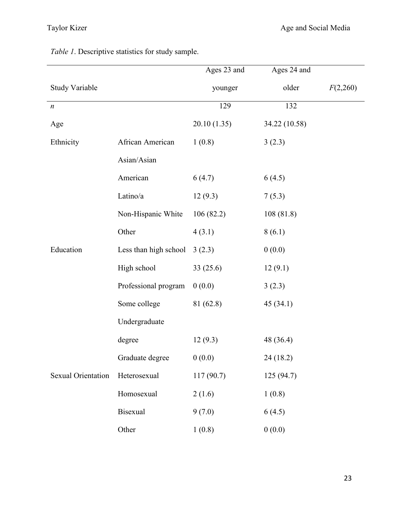*Table 1*. Descriptive statistics for study sample.

|                       |                       | Ages 23 and | Ages 24 and   |          |
|-----------------------|-----------------------|-------------|---------------|----------|
| <b>Study Variable</b> |                       | younger     | older         | F(2,260) |
| $\boldsymbol{n}$      |                       | 129         | 132           |          |
| Age                   |                       | 20.10(1.35) | 34.22 (10.58) |          |
| Ethnicity             | African American      | 1(0.8)      | 3(2.3)        |          |
|                       | Asian/Asian           |             |               |          |
|                       | American              | 6(4.7)      | 6(4.5)        |          |
|                       | Latino/a              | 12(9.3)     | 7(5.3)        |          |
|                       | Non-Hispanic White    | 106(82.2)   | 108(81.8)     |          |
|                       | Other                 | 4(3.1)      | 8(6.1)        |          |
| Education             | Less than high school | 3(2.3)      | 0(0.0)        |          |
|                       | High school           | 33(25.6)    | 12(9.1)       |          |
|                       | Professional program  | 0(0.0)      | 3(2.3)        |          |
|                       | Some college          | 81 (62.8)   | 45(34.1)      |          |
|                       | Undergraduate         |             |               |          |
|                       | degree                | 12(9.3)     | 48 (36.4)     |          |
|                       | Graduate degree       | 0(0.0)      | 24 (18.2)     |          |
| Sexual Orientation    | Heterosexual          | 117(90.7)   | 125 (94.7)    |          |
|                       | Homosexual            | 2(1.6)      | 1(0.8)        |          |
|                       | <b>Bisexual</b>       | 9(7.0)      | 6(4.5)        |          |
|                       | Other                 | 1(0.8)      | 0(0.0)        |          |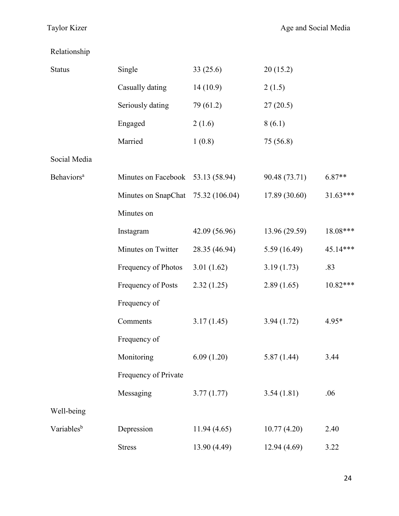Relationship

| <b>Status</b>          | Single                             | 33(25.6)      | 20(15.2)      |            |
|------------------------|------------------------------------|---------------|---------------|------------|
|                        | Casually dating                    | 14(10.9)      | 2(1.5)        |            |
|                        | Seriously dating                   | 79 (61.2)     | 27(20.5)      |            |
|                        | Engaged                            | 2(1.6)        | 8(6.1)        |            |
|                        | Married                            | 1(0.8)        | 75 (56.8)     |            |
| Social Media           |                                    |               |               |            |
| Behaviors <sup>a</sup> | Minutes on Facebook 53.13 (58.94)  |               | 90.48 (73.71) | $6.87**$   |
|                        | Minutes on SnapChat 75.32 (106.04) |               | 17.89 (30.60) | $31.63***$ |
|                        | Minutes on                         |               |               |            |
|                        | Instagram                          | 42.09 (56.96) | 13.96 (29.59) | 18.08***   |
|                        | Minutes on Twitter                 | 28.35 (46.94) | 5.59(16.49)   | 45.14***   |
|                        | Frequency of Photos                | 3.01 $(1.62)$ | 3.19(1.73)    | .83        |
|                        | Frequency of Posts                 | 2.32(1.25)    | 2.89(1.65)    | 10.82***   |
|                        | Frequency of                       |               |               |            |
|                        | Comments                           | 3.17(1.45)    | 3.94(1.72)    | $4.95*$    |
|                        | Frequency of                       |               |               |            |
|                        | Monitoring                         | 6.09(1.20)    | 5.87 (1.44)   | 3.44       |
|                        | Frequency of Private               |               |               |            |
|                        | Messaging                          | 3.77(1.77)    | 3.54(1.81)    | .06        |
| Well-being             |                                    |               |               |            |
| Variables <sup>b</sup> | Depression                         | 11.94(4.65)   | 10.77(4.20)   | 2.40       |
|                        | <b>Stress</b>                      | 13.90 (4.49)  | 12.94 (4.69)  | 3.22       |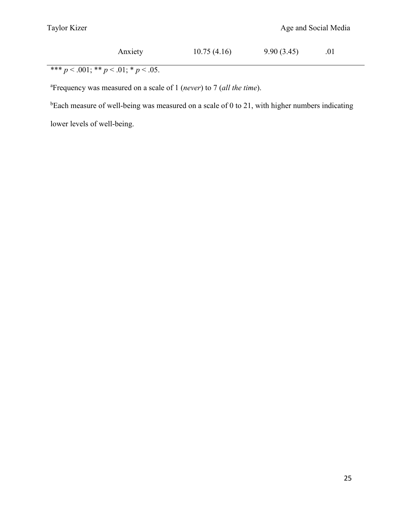| Anxiety | 10.75(4.16) | 9.90(3.45) | .01 |
|---------|-------------|------------|-----|
|         |             |            |     |

\*\*\* *p* < .001; \*\* *p* < .01; \* *p* < .05.

a Frequency was measured on a scale of 1 (*never*) to 7 (*all the time*).

 $b$ Each measure of well-being was measured on a scale of 0 to 21, with higher numbers indicating

lower levels of well-being.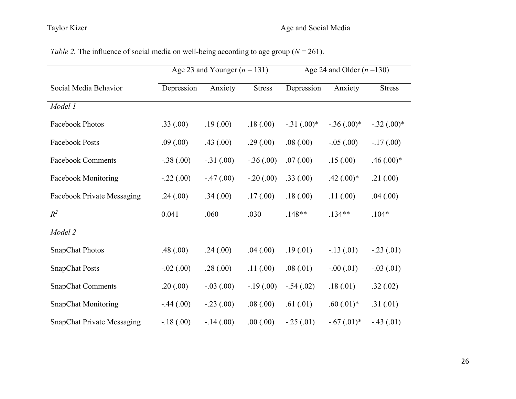# Taylor Kizer Age and Social Media

|                                   |             | Age 23 and Younger ( $n = 131$ ) |               | Age 24 and Older $(n=130)$ |                |               |
|-----------------------------------|-------------|----------------------------------|---------------|----------------------------|----------------|---------------|
| Social Media Behavior             | Depression  | Anxiety                          | <b>Stress</b> | Depression                 | Anxiety        | <b>Stress</b> |
| Model 1                           |             |                                  |               |                            |                |               |
| <b>Facebook Photos</b>            | .33(.00)    | .19(.00)                         | .18(.00)      | $-.31(.00)*$               | $-.36(.00)*$   | $-.32(.00)*$  |
| <b>Facebook Posts</b>             | .09(.00)    | .43(.00)                         | .29(.00)      | .08(.00)                   | $-.05(.00)$    | $-.17(.00)$   |
| <b>Facebook Comments</b>          | $-.38(.00)$ | $-.31(.00)$                      | $-.36(.00)$   | .07(.00)                   | .15(.00)       | $.46(.00)*$   |
| <b>Facebook Monitoring</b>        | $-.22(.00)$ | $-.47(.00)$                      | $-.20(.00)$   | .33(.00)                   | $.42 \,(.00)*$ | .21(.00)      |
| <b>Facebook Private Messaging</b> | .24(.00)    | .34(.00)                         | .17(.00)      | .18(.00)                   | .11(.00)       | .04(.00)      |
| $R^2$                             | 0.041       | .060                             | .030          | $.148**$                   | $.134**$       | $.104*$       |
| Model 2                           |             |                                  |               |                            |                |               |
| <b>SnapChat Photos</b>            | .48(.00)    | .24(.00)                         | .04(.00)      | .19(.01)                   | $-.13(.01)$    | $-.23(.01)$   |
| <b>SnapChat Posts</b>             | $-.02(.00)$ | .28(.00)                         | .11(.00)      | .08(.01)                   | $-.00(.01)$    | $-.03(.01)$   |
| <b>SnapChat Comments</b>          | .20(.00)    | $-.03(.00)$                      | $-.19(.00)$   | $-.54(.02)$                | .18(.01)       | .32(.02)      |
| <b>SnapChat Monitoring</b>        | $-.44(.00)$ | $-.23(.00)$                      | .08(.00)      | .61(.01)                   | $.60(.01)*$    | .31(.01)      |
| <b>SnapChat Private Messaging</b> | $-.18(.00)$ | $-.14(.00)$                      | .00(.00)      | $-.25(.01)$                | $-.67(.01)*$   | $-.43(.01)$   |

*Table 2.* The influence of social media on well-being according to age group ( $N = 261$ ).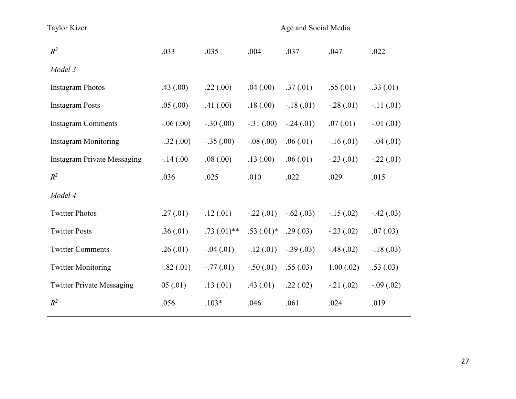| <b>Taylor Kizer</b>                |             |                |             | Age and Social Media |             |             |
|------------------------------------|-------------|----------------|-------------|----------------------|-------------|-------------|
| $R^2$                              | .033        | .035           | .004        | .037                 | .047        | .022        |
| Model 3                            |             |                |             |                      |             |             |
| <b>Instagram Photos</b>            | .43(.00)    | .22(.00)       | .04(.00)    | .37(.01)             | .55(.01)    | .33(.01)    |
| <b>Instagram Posts</b>             | .05(.00)    | .41(.00)       | .18(.00)    | $-.18(.01)$          | $-.28(.01)$ | $-.11(.01)$ |
| <b>Instagram Comments</b>          | $-.06(.00)$ | $-.30(.00)$    | $-.31(.00)$ | $-.24(.01)$          | .07(01)     | $-.01(.01)$ |
| <b>Instagram Monitoring</b>        | $-.32(.00)$ | $-.35(.00)$    | $-.08(.00)$ | .06(.01)             | $-.16(.01)$ | $-.04(.01)$ |
| <b>Instagram Private Messaging</b> | $-.14(.00)$ | .08(.00)       | .13(.00)    | .06(01)              | $-.23(.01)$ | $-.22(.01)$ |
| $R^2$                              | .036        | .025           | .010        | .022                 | .029        | .015        |
| Model 4                            |             |                |             |                      |             |             |
| <b>Twitter Photos</b>              | .27(.01)    | .12(.01)       | $-.22(.01)$ | $-.62(.03)$          | $-.15(.02)$ | $-.42(.03)$ |
| <b>Twitter Posts</b>               | .36(.01)    | $.73(0.01)$ ** | $.53(.01)*$ | .29(.03)             | $-.23(.02)$ | .07(.03)    |
| <b>Twitter Comments</b>            | .26(.01)    | $-.04(.01)$    | $-.12(.01)$ | $-.39(.03)$          | $-.48(.02)$ | $-.18(.03)$ |
| <b>Twitter Monitoring</b>          | $-.82(.01)$ | $-.77(.01)$    | $-.50(.01)$ | .55(.03)             | 1.00(.02)   | .53(.03)    |
| <b>Twitter Private Messaging</b>   | 05(.01)     | .13(01)        | .43(.01)    | .22(.02)             | $-.21(.02)$ | $-.09(.02)$ |
| $R^2$                              | .056        | $.103*$        | .046        | .061                 | .024        | .019        |